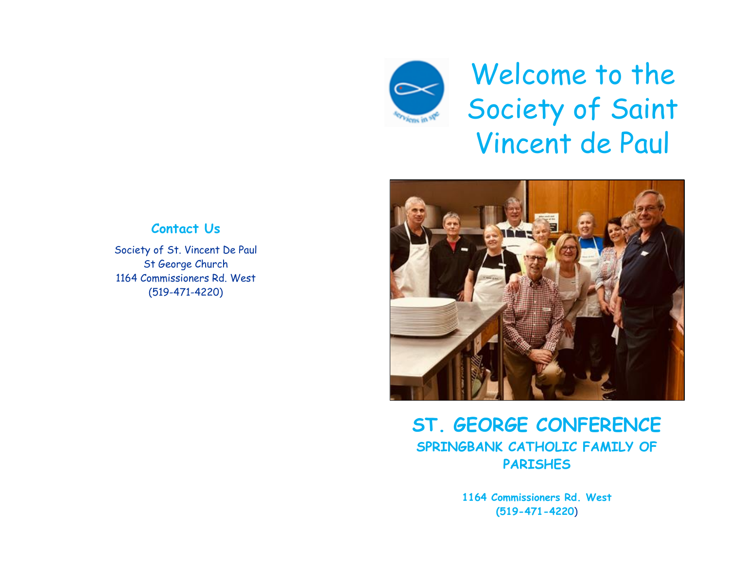

Welcome to the Society of Saint Vincent de Paul



## **ST. GEORGE CONFERENCE SPRINGBANK CATHOLIC FAMILY OF PARISHES**

**1164 Commissioners Rd. West (519-471-4220**)

### **Contact Us**

Society of St. Vincent De Paul St George Church 1164 Commissioners Rd. West (519-471-4220)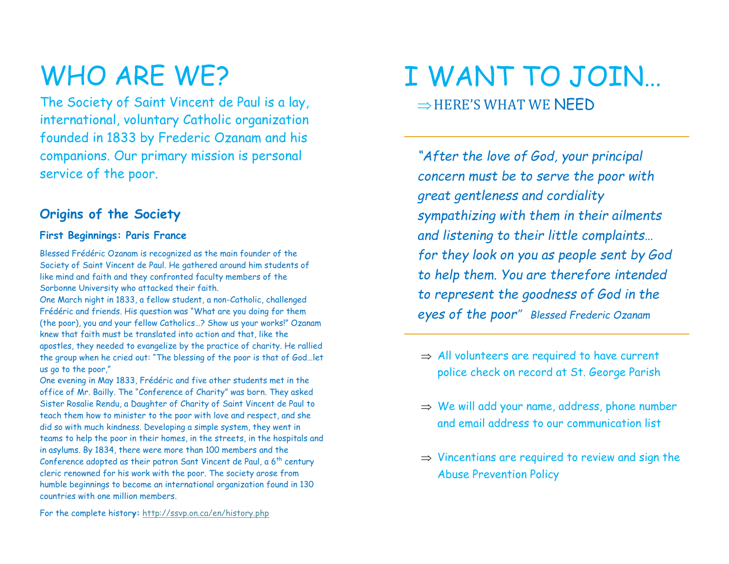## WHO ARE WE?

The Society of Saint Vincent de Paul is a lay, international, voluntary Catholic organization founded in 1833 by Frederic Ozanam and his companions. Our primary mission is personal service of the poor.

## **Origins of the Society**

#### **First Beginnings: Paris France**

Blessed Frédéric Ozanam is recognized as the main founder of the Society of Saint Vincent de Paul. He gathered around him students of like mind and faith and they confronted faculty members of the Sorbonne University who attacked their faith.

One March night in 1833, a fellow student, a non-Catholic, challenged Frédéric and friends. His question was "What are you doing for them (the poor), you and your fellow Catholics…? Show us your works!" Ozanam knew that faith must be translated into action and that, like the apostles, they needed to evangelize by the practice of charity. He rallied the group when he cried out: "The blessing of the poor is that of God…let us go to the poor,"

One evening in May 1833, Frédéric and five other students met in the office of Mr. Bailly. The "Conference of Charity" was born. They asked Sister Rosalie Rendu, a Daughter of Charity of Saint Vincent de Paul to teach them how to minister to the poor with love and respect, and she did so with much kindness. Developing a simple system, they went in teams to help the poor in their homes, in the streets, in the hospitals and in asylums. By 1834, there were more than 100 members and the Conference adopted as their patron Sant Vincent de Paul, a  $6<sup>th</sup>$  century cleric renowned for his work with the poor. The society arose from humble beginnings to become an international organization found in 130 countries with one million members.

For the complete histor**y:** <http://ssvp.on.ca/en/history.php>

## I WANT TO JOIN…  $\Rightarrow$ HERE'S WHAT WE NFFD

*"After the love of God, your principal concern must be to serve the poor with great gentleness and cordiality sympathizing with them in their ailments and listening to their little complaints… for they look on you as people sent by God to help them. You are therefore intended to represent the goodness of God in the eyes of the poor" Blessed Frederic Ozanam*

- $\Rightarrow$  All volunteers are required to have current police check on record at St. George Parish
- $\Rightarrow$  We will add your name, address, phone number and email address to our communication list
- $\Rightarrow$  Vincentians are required to review and sign the Abuse Prevention Policy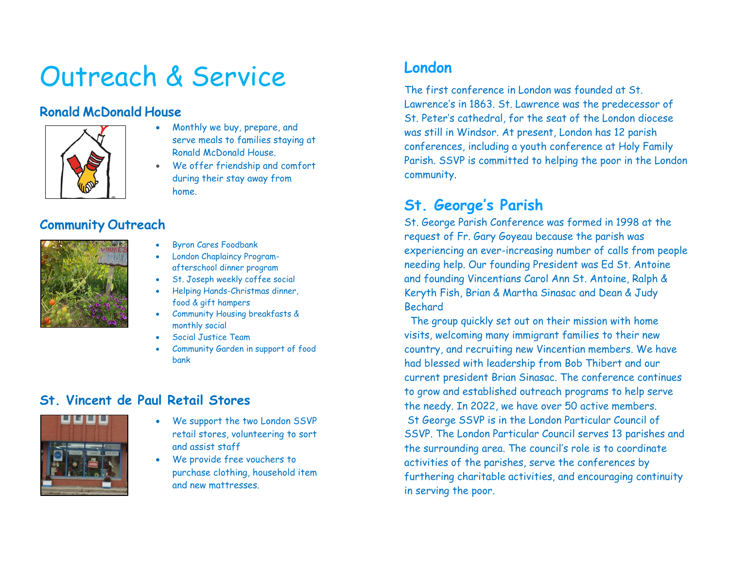## Outreach & Service

## **Ronald McDonald House**



- Monthly we buy, prepare, and serve meals to families staying at Ronald McDonald House.
- We offer friendship and comfort during their stay away from home.

## **Community Outreach**



- Byron Cares Foodbank
- London Chaplaincy Programafterschool dinner program
- St. Joseph weekly coffee social
- Helping Hands-Christmas dinner, food & gift hampers
- Community Housing breakfasts & monthly social
- Social Justice Team
- Community Garden in support of food bank

### **St. Vincent de Paul Retail Stores**



- We support the two London SSVP retail stores, volunteering to sort and assist staff
- We provide free vouchers to purchase clothing, household item and new mattresses.

## **London**

The first conference in London was founded at St. Lawrence's in 1863. St. Lawrence was the predecessor of St. Peter's cathedral, for the seat of the London diocese was still in Windsor. At present, London has 12 parish conferences, including a youth conference at Holy Family Parish. SSVP is committed to helping the poor in the London community.

## **St. George's Parish**

St. George Parish Conference was formed in 1998 at the request of Fr. Gary Goyeau because the parish was experiencing an ever-increasing number of calls from people needing help. Our founding President was Ed St. Antoine and founding Vincentians Carol Ann St. Antoine, Ralph & Keryth Fish, Brian & Martha Sinasac and Dean & Judy Bechard

 The group quickly set out on their mission with home visits, welcoming many immigrant families to their new country, and recruiting new Vincentian members. We have had blessed with leadership from Bob Thibert and our current president Brian Sinasac. The conference continues to grow and established outreach programs to help serve the needy. In 2022, we have over 50 active members. St George SSVP is in the London Particular Council of SSVP. The London Particular Council serves 13 parishes and the surrounding area. The council's role is to coordinate activities of the parishes, serve the conferences by furthering charitable activities, and encouraging continuity in serving the poor.